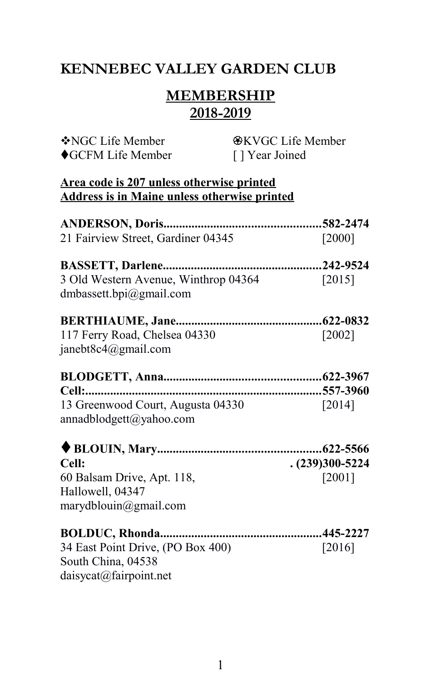## **KENNEBEC VALLEY GARDEN CLUB**

## **MEMBERSHIP 2018-2019**

| ❖NGC Life Member                                                                                 | <b>We KVGC Life Member</b> |  |
|--------------------------------------------------------------------------------------------------|----------------------------|--|
| ◆GCFM Life Member                                                                                | [] Year Joined             |  |
| Area code is 207 unless otherwise printed<br><b>Address is in Maine unless otherwise printed</b> |                            |  |
| <b>ANDERSON, Doris</b>                                                                           | 582-2474                   |  |
| 21 Fairview Street, Gardiner 04345                                                               | $[2000]$                   |  |
| <b>BASSETT, Darlene</b>                                                                          | 242-9524                   |  |
| 3 Old Western Avenue, Winthrop 04364<br>dmbassett.bpi@gmail.com                                  | $[2015]$                   |  |
|                                                                                                  |                            |  |
| 117 Ferry Road, Chelsea 04330<br>janebt8c4@gmail.com                                             | [2002]                     |  |
|                                                                                                  |                            |  |
|                                                                                                  | 557-3960                   |  |
| 13 Greenwood Court, Augusta 04330                                                                | [2014]                     |  |
| annadblodgett@yahoo.com                                                                          |                            |  |
|                                                                                                  |                            |  |
| Cell:                                                                                            | $. (239)300 - 5224$        |  |
| 60 Balsam Drive, Apt. 118,                                                                       | $[2001]$                   |  |
| Hallowell, 04347                                                                                 |                            |  |
| marydblouin@gmail.com                                                                            |                            |  |
|                                                                                                  |                            |  |
| 34 East Point Drive, (PO Box 400)                                                                | [2016]                     |  |
| South China, 04538                                                                               |                            |  |
| daisycat@fairpoint.net                                                                           |                            |  |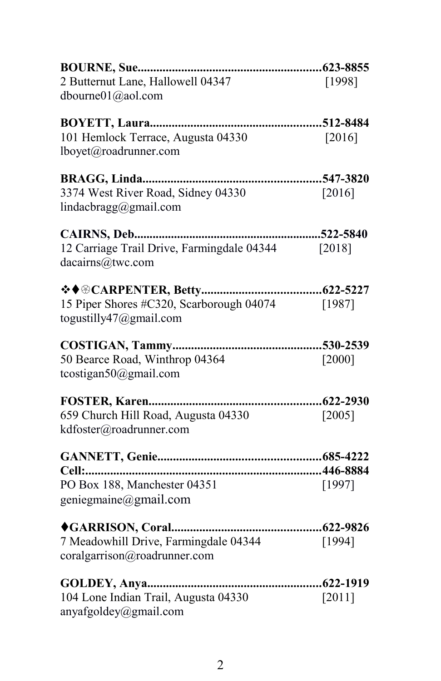| <b>BOURNE, Sue</b>                         | 623-8855 |
|--------------------------------------------|----------|
| 2 Butternut Lane, Hallowell 04347          | [1998]   |
| dbourne01@aol.com                          |          |
| <b>BOYETT, Laura</b>                       | 512-8484 |
| 101 Hemlock Terrace, Augusta 04330         | [2016]   |
| lboyet@roadrunner.com                      |          |
| <b>BRAGG, Linda</b>                        | 547-3820 |
| 3374 West River Road, Sidney 04330         | [2016]   |
| lindacbragg@gmail.com                      |          |
| <b>CAIRNS</b> , Deb                        | 522-5840 |
| 12 Carriage Trail Drive, Farmingdale 04344 | [2018]   |
| dacairns@twc.com                           |          |
|                                            |          |
| 15 Piper Shores #C320, Scarborough 04074   | [1987]   |
| togustilly47@gmail.com                     |          |
|                                            |          |
| 50 Bearce Road, Winthrop 04364             | [2000]   |
| tcostigan50@gmail.com                      |          |
|                                            |          |
| 659 Church Hill Road, Augusta 04330        | $[2005]$ |
| kdfoster@roadrunner.com                    |          |
|                                            |          |
| Cell:<br>446-8884                          |          |
| PO Box 188, Manchester 04351               | [1997]   |
| geniegmaine@gmail.com                      |          |
| ◆GARRISON, Coral                           | 622-9826 |
| 7 Meadowhill Drive, Farmingdale 04344      | [1994]   |
| coralgarrison@roadrunner.com               |          |
|                                            |          |
| 104 Lone Indian Trail, Augusta 04330       | [2011]   |
| anyafgoldey@gmail.com                      |          |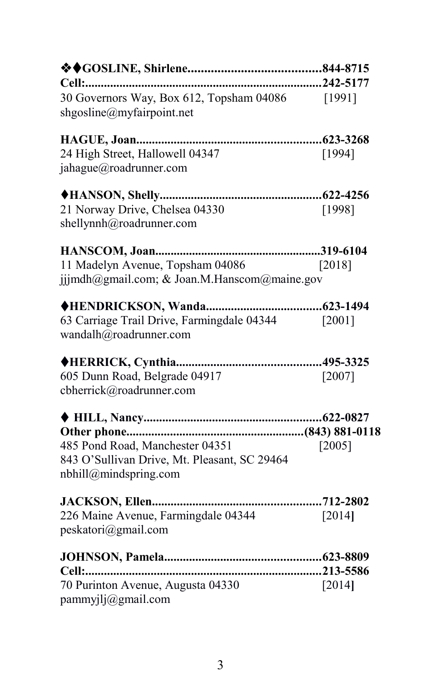| Cell:<br>242-5177<br>30 Governors Way, Box 612, Topsham 04086 [1991]<br>shgosline@myfairpoint.net        |          |
|----------------------------------------------------------------------------------------------------------|----------|
| <b>HAGUE, Joan</b>                                                                                       |          |
| 24 High Street, Hallowell 04347<br>jahague@roadrunner.com                                                | [1994]   |
|                                                                                                          |          |
| 21 Norway Drive, Chelsea 04330<br>shellynnh@roadrunner.com                                               | [1998]   |
|                                                                                                          |          |
| 11 Madelyn Avenue, Topsham 04086<br>jjjmdh@gmail.com; & Joan.M.Hanscom@maine.gov                         | [2018]   |
|                                                                                                          |          |
| 63 Carriage Trail Drive, Farmingdale 04344<br>wandalh@roadrunner.com                                     | [2001]   |
|                                                                                                          |          |
| 605 Dunn Road, Belgrade 04917<br>cbherrick@roadrunner.com                                                | $[2007]$ |
|                                                                                                          |          |
| 485 Pond Road, Manchester 04351<br>843 O'Sullivan Drive, Mt. Pleasant, SC 29464<br>nbhill@mindspring.com | [2005]   |
|                                                                                                          |          |
| 226 Maine Avenue, Farmingdale 04344<br>peskatori@gmail.com                                               | [2014]   |
|                                                                                                          |          |
|                                                                                                          |          |
| 70 Purinton Avenue, Augusta 04330<br>pammyjlj@gmail.com                                                  | [2014]   |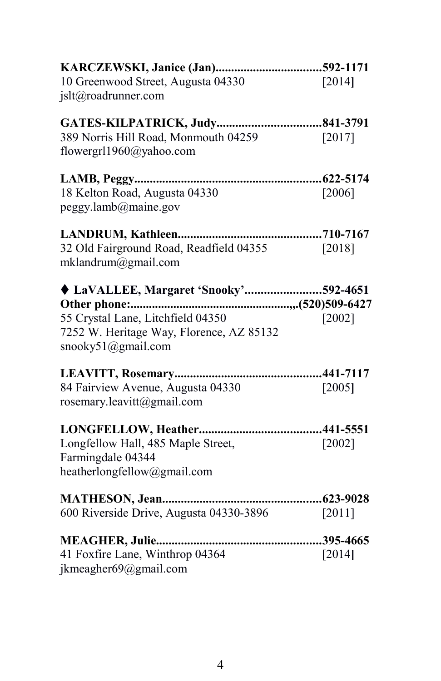| 10 Greenwood Street, Augusta 04330       | [2014]    |
|------------------------------------------|-----------|
| jslt@roadrunner.com                      |           |
| GATES-KILPATRICK, Judy                   | 841-3791  |
| 389 Norris Hill Road, Monmouth 04259     | [2017]    |
| flowergrl1960@yahoo.com                  |           |
| <b>LAMB, Peggy</b><br>                   | .622-5174 |
| 18 Kelton Road, Augusta 04330            | [2006]    |
| peggy.lamb@maine.gov                     |           |
| LANDRUM, Kathleen                        | 710-7167  |
| 32 Old Fairground Road, Readfield 04355  | [2018]    |
| mklandrum@gmail.com                      |           |
| ♦ LaVALLEE, Margaret 'Snooky'592-4651    |           |
| ,,.(520)509-6427<br>Other phone:         |           |
| 55 Crystal Lane, Litchfield 04350        | [2002]    |
| 7252 W. Heritage Way, Florence, AZ 85132 |           |
| snooky51@gmail.com                       |           |
| LEAVITT, Rosemary                        | 441-7117  |
| 84 Fairview Avenue, Augusta 04330        | $[2005]$  |
| rosemary.leavitt@gmail.com               |           |
|                                          |           |
| Longfellow Hall, 485 Maple Street,       | $[2002]$  |
| Farmingdale 04344                        |           |
| heatherlongfellow@gmail.com              |           |
|                                          |           |
| 600 Riverside Drive, Augusta 04330-3896  | [2011]    |
| MEAGHER, Julie<br>395-4665               |           |
| 41 Foxfire Lane, Winthrop 04364          | [2014]    |
| jkmeagher69@gmail.com                    |           |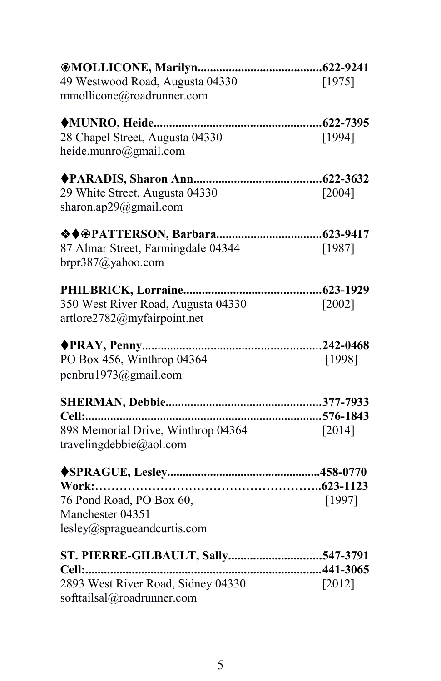| <b>@MOLLICONE, Marilyn</b>         |          |
|------------------------------------|----------|
| 49 Westwood Road, Augusta 04330    | [1975]   |
| mmollicone@roadrunner.com          |          |
|                                    |          |
| 28 Chapel Street, Augusta 04330    | [1994]   |
| heide.munro@gmail.com              |          |
|                                    |          |
| 29 White Street, Augusta 04330     | [2004]   |
| sharon.ap29@gmail.com              |          |
|                                    |          |
| 87 Almar Street, Farmingdale 04344 | [1987]   |
| brpr387@yahoo.com                  |          |
| PHILBRICK, Lorraine                |          |
| 350 West River Road, Augusta 04330 | $[2002]$ |
| artlore2782@myfairpoint.net        |          |
|                                    |          |
| PO Box 456, Winthrop 04364         | [1998]   |
| penbru1973@gmail.com               |          |
|                                    |          |
| Cell:                              | 576-1843 |
| 898 Memorial Drive, Winthrop 04364 | [2014]   |
| travelingdebbie@aol.com            |          |
|                                    |          |
|                                    |          |
| 76 Pond Road, PO Box 60,           | [1997]   |
| Manchester 04351                   |          |
| lesley@spragueandcurtis.com        |          |
| ST. PIERRE-GILBAULT, Sally547-3791 |          |
| Cell:                              | 441-3065 |
| 2893 West River Road, Sidney 04330 | [2012]   |
| softtailsal@roadrunner.com         |          |